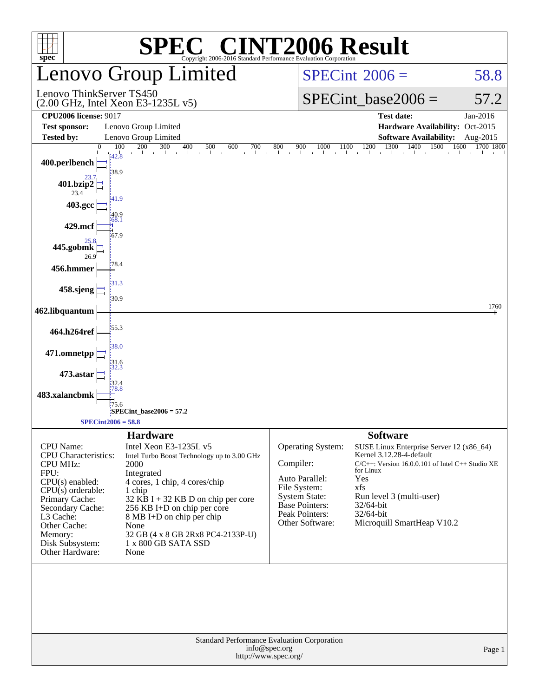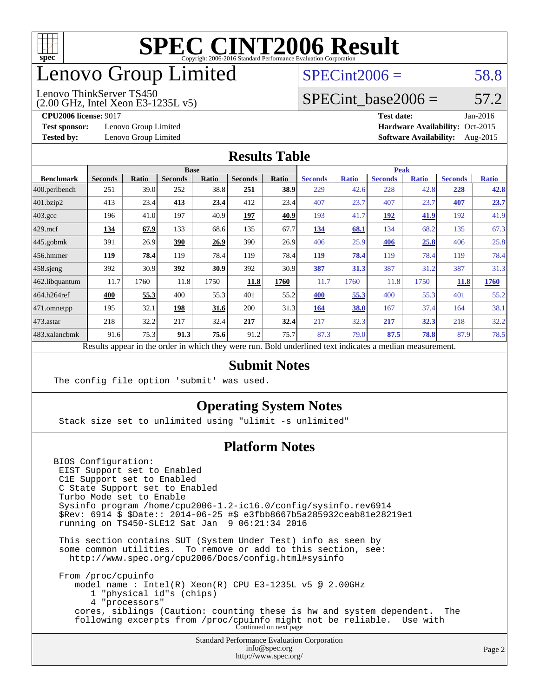![](_page_1_Picture_0.jpeg)

## enovo Group Limited

### $SPECint2006 = 58.8$  $SPECint2006 = 58.8$

(2.00 GHz, Intel Xeon E3-1235L v5) Lenovo ThinkServer TS450

SPECint base2006 =  $57.2$ 

**[Test sponsor:](http://www.spec.org/auto/cpu2006/Docs/result-fields.html#Testsponsor)** Lenovo Group Limited **[Hardware Availability:](http://www.spec.org/auto/cpu2006/Docs/result-fields.html#HardwareAvailability)** Oct-2015

**[CPU2006 license:](http://www.spec.org/auto/cpu2006/Docs/result-fields.html#CPU2006license)** 9017 **[Test date:](http://www.spec.org/auto/cpu2006/Docs/result-fields.html#Testdate)** Jan-2016 **[Tested by:](http://www.spec.org/auto/cpu2006/Docs/result-fields.html#Testedby)** Lenovo Group Limited **[Software Availability:](http://www.spec.org/auto/cpu2006/Docs/result-fields.html#SoftwareAvailability)** Aug-2015

### **[Results Table](http://www.spec.org/auto/cpu2006/Docs/result-fields.html#ResultsTable)**

|                    | <b>Base</b>    |              |                |              |                |              | <b>Peak</b>                                                                                              |              |                |              |                |              |
|--------------------|----------------|--------------|----------------|--------------|----------------|--------------|----------------------------------------------------------------------------------------------------------|--------------|----------------|--------------|----------------|--------------|
| <b>Benchmark</b>   | <b>Seconds</b> | <b>Ratio</b> | <b>Seconds</b> | <b>Ratio</b> | <b>Seconds</b> | <b>Ratio</b> | <b>Seconds</b>                                                                                           | <b>Ratio</b> | <b>Seconds</b> | <b>Ratio</b> | <b>Seconds</b> | <b>Ratio</b> |
| $ 400$ .perlbench  | 251            | 39.0         | 252            | 38.8         | 251            | 38.9         | 229                                                                                                      | 42.6         | 228            | 42.8         | 228            | 42.8         |
| 401.bzip2          | 413            | 23.4         | 413            | 23.4         | 412            | 23.4         | 407                                                                                                      | 23.7         | 407            | 23.7         | 407            | 23.7         |
| $403.\mathrm{gcc}$ | 196            | 41.0         | 197            | 40.9         | 197            | 40.9         | 193                                                                                                      | 41.7         | 192            | 41.9         | 192            | 41.9         |
| $429$ mcf          | 134            | 67.9         | 133            | 68.6         | 135            | 67.7         | 134                                                                                                      | 68.1         | 134            | 68.2         | 135            | 67.3         |
| $445$ .gobmk       | 391            | 26.9         | 390            | 26.9         | 390            | 26.9         | 406                                                                                                      | 25.9         | 406            | 25.8         | 406            | 25.8         |
| 456.hmmer          | 119            | 78.4         | 119            | 78.4         | 119            | 78.4         | <b>119</b>                                                                                               | 78.4         | 119            | 78.4         | 119            | 78.4         |
| $458$ .sjeng       | 392            | 30.9         | 392            | 30.9         | 392            | 30.9         | 387                                                                                                      | 31.3         | 387            | 31.2         | 387            | 31.3         |
| 462.libquantum     | 11.7           | 1760         | 11.8           | 1750         | 11.8           | 1760         | 11.7                                                                                                     | 1760         | 11.8           | 1750         | <b>11.8</b>    | 1760         |
| 464.h264ref        | 400            | 55.3         | 400            | 55.3         | 401            | 55.2         | 400                                                                                                      | 55.3         | 400            | 55.3         | 401            | 55.2         |
| $ 471$ .omnetpp    | 195            | 32.1         | 198            | 31.6         | 200            | 31.3         | 164                                                                                                      | 38.0         | 167            | 37.4         | 164            | 38.1         |
| $473$ . astar      | 218            | 32.2         | 217            | 32.4         | 217            | 32.4         | 217                                                                                                      | 32.3         | 217            | 32.3         | 218            | 32.2         |
| 483.xalancbmk      | 91.6           | 75.3         | 91.3           | 75.6         | 91.2           | 75.7         | 87.3                                                                                                     | 79.0         | 87.5           | 78.8         | 87.9           | 78.5         |
|                    |                |              |                |              |                |              | Results appear in the order in which they were run. Bold underlined text indicates a median measurement. |              |                |              |                |              |

### **[Submit Notes](http://www.spec.org/auto/cpu2006/Docs/result-fields.html#SubmitNotes)**

The config file option 'submit' was used.

### **[Operating System Notes](http://www.spec.org/auto/cpu2006/Docs/result-fields.html#OperatingSystemNotes)**

Stack size set to unlimited using "ulimit -s unlimited"

### **[Platform Notes](http://www.spec.org/auto/cpu2006/Docs/result-fields.html#PlatformNotes)**

BIOS Configuration: EIST Support set to Enabled C1E Support set to Enabled C State Support set to Enabled Turbo Mode set to Enable Sysinfo program /home/cpu2006-1.2-ic16.0/config/sysinfo.rev6914 \$Rev: 6914 \$ \$Date:: 2014-06-25 #\$ e3fbb8667b5a285932ceab81e28219e1 running on TS450-SLE12 Sat Jan 9 06:21:34 2016 This section contains SUT (System Under Test) info as seen by some common utilities. To remove or add to this section, see: <http://www.spec.org/cpu2006/Docs/config.html#sysinfo> From /proc/cpuinfo model name : Intel(R) Xeon(R) CPU E3-1235L v5 @ 2.00GHz 1 "physical id"s (chips) 4 "processors" cores, siblings (Caution: counting these is hw and system dependent. The following excerpts from /proc/cpuinfo might not be reliable. Use with Continued on next page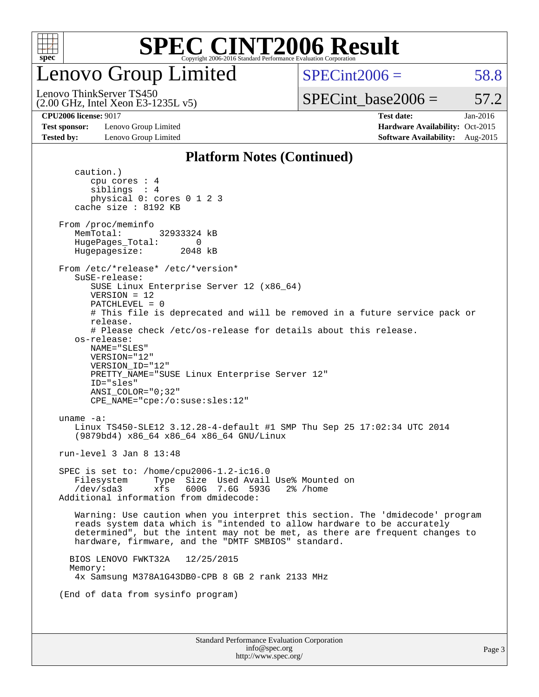![](_page_2_Picture_0.jpeg)

enovo Group Limited

 $SPECint2006 = 58.8$  $SPECint2006 = 58.8$ 

(2.00 GHz, Intel Xeon E3-1235L v5) Lenovo ThinkServer TS450

SPECint base2006 =  $57.2$ 

**[Test sponsor:](http://www.spec.org/auto/cpu2006/Docs/result-fields.html#Testsponsor)** Lenovo Group Limited **[Hardware Availability:](http://www.spec.org/auto/cpu2006/Docs/result-fields.html#HardwareAvailability)** Oct-2015

**[CPU2006 license:](http://www.spec.org/auto/cpu2006/Docs/result-fields.html#CPU2006license)** 9017 **[Test date:](http://www.spec.org/auto/cpu2006/Docs/result-fields.html#Testdate)** Jan-2016 **[Tested by:](http://www.spec.org/auto/cpu2006/Docs/result-fields.html#Testedby)** Lenovo Group Limited **[Software Availability:](http://www.spec.org/auto/cpu2006/Docs/result-fields.html#SoftwareAvailability)** Aug-2015

#### **[Platform Notes \(Continued\)](http://www.spec.org/auto/cpu2006/Docs/result-fields.html#PlatformNotes)**

Standard Performance Evaluation Corporation [info@spec.org](mailto:info@spec.org) <http://www.spec.org/> caution.) cpu cores : 4 siblings : 4 physical 0: cores 0 1 2 3 cache size : 8192 KB From /proc/meminfo MemTotal: 32933324 kB HugePages\_Total: 0<br>Hugepagesize: 2048 kB Hugepagesize: From /etc/\*release\* /etc/\*version\* SuSE-release: SUSE Linux Enterprise Server 12 (x86\_64) VERSION = 12 PATCHLEVEL = 0 # This file is deprecated and will be removed in a future service pack or release. # Please check /etc/os-release for details about this release. os-release: NAME="SLES" VERSION="12" VERSION\_ID="12" PRETTY\_NAME="SUSE Linux Enterprise Server 12" ID="sles" ANSI\_COLOR="0;32" CPE\_NAME="cpe:/o:suse:sles:12" uname -a: Linux TS450-SLE12 3.12.28-4-default #1 SMP Thu Sep 25 17:02:34 UTC 2014 (9879bd4) x86\_64 x86\_64 x86\_64 GNU/Linux run-level 3 Jan 8 13:48 SPEC is set to: /home/cpu2006-1.2-ic16.0 Filesystem Type Size Used Avail Use% Mounted on /dev/sda3 xfs 600G 7.6G 593G 2% /home Additional information from dmidecode: Warning: Use caution when you interpret this section. The 'dmidecode' program reads system data which is "intended to allow hardware to be accurately determined", but the intent may not be met, as there are frequent changes to hardware, firmware, and the "DMTF SMBIOS" standard. BIOS LENOVO FWKT32A 12/25/2015 Memory: 4x Samsung M378A1G43DB0-CPB 8 GB 2 rank 2133 MHz (End of data from sysinfo program)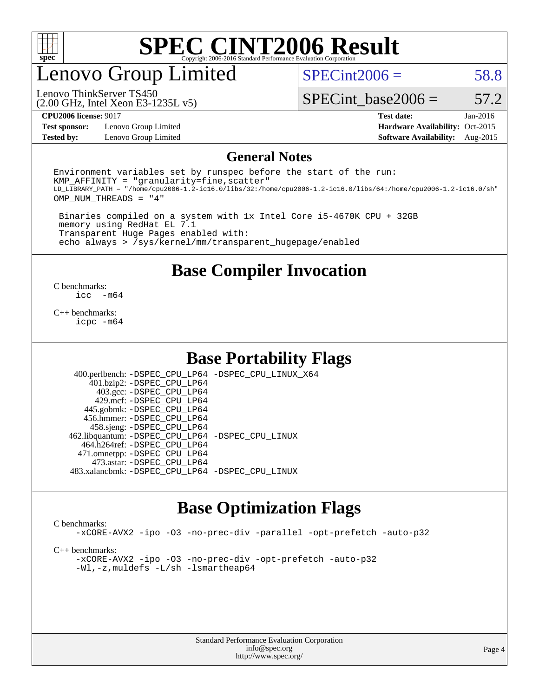![](_page_3_Picture_0.jpeg)

### enovo Group Limited

 $SPECint2006 = 58.8$  $SPECint2006 = 58.8$ 

(2.00 GHz, Intel Xeon E3-1235L v5) Lenovo ThinkServer TS450

SPECint base2006 =  $57.2$ 

**[Test sponsor:](http://www.spec.org/auto/cpu2006/Docs/result-fields.html#Testsponsor)** Lenovo Group Limited **[Hardware Availability:](http://www.spec.org/auto/cpu2006/Docs/result-fields.html#HardwareAvailability)** Oct-2015

**[CPU2006 license:](http://www.spec.org/auto/cpu2006/Docs/result-fields.html#CPU2006license)** 9017 **[Test date:](http://www.spec.org/auto/cpu2006/Docs/result-fields.html#Testdate)** Jan-2016 **[Tested by:](http://www.spec.org/auto/cpu2006/Docs/result-fields.html#Testedby)** Lenovo Group Limited **[Software Availability:](http://www.spec.org/auto/cpu2006/Docs/result-fields.html#SoftwareAvailability)** Aug-2015

#### **[General Notes](http://www.spec.org/auto/cpu2006/Docs/result-fields.html#GeneralNotes)**

Environment variables set by runspec before the start of the run:  $KMP$  AFFINITY = "granularity=fine, scatter" LD\_LIBRARY\_PATH = "/home/cpu2006-1.2-ic16.0/libs/32:/home/cpu2006-1.2-ic16.0/libs/64:/home/cpu2006-1.2-ic16.0/sh" OMP\_NUM\_THREADS = "4"

 Binaries compiled on a system with 1x Intel Core i5-4670K CPU + 32GB memory using RedHat EL 7.1 Transparent Huge Pages enabled with: echo always > /sys/kernel/mm/transparent\_hugepage/enabled

**[Base Compiler Invocation](http://www.spec.org/auto/cpu2006/Docs/result-fields.html#BaseCompilerInvocation)**

 $\frac{C \text{ benchmarks:}}{C \text{ C}}$ -m64

[C++ benchmarks:](http://www.spec.org/auto/cpu2006/Docs/result-fields.html#CXXbenchmarks) [icpc -m64](http://www.spec.org/cpu2006/results/res2016q1/cpu2006-20160125-38902.flags.html#user_CXXbase_intel_icpc_64bit_fc66a5337ce925472a5c54ad6a0de310)

### **[Base Portability Flags](http://www.spec.org/auto/cpu2006/Docs/result-fields.html#BasePortabilityFlags)**

 400.perlbench: [-DSPEC\\_CPU\\_LP64](http://www.spec.org/cpu2006/results/res2016q1/cpu2006-20160125-38902.flags.html#b400.perlbench_basePORTABILITY_DSPEC_CPU_LP64) [-DSPEC\\_CPU\\_LINUX\\_X64](http://www.spec.org/cpu2006/results/res2016q1/cpu2006-20160125-38902.flags.html#b400.perlbench_baseCPORTABILITY_DSPEC_CPU_LINUX_X64) 401.bzip2: [-DSPEC\\_CPU\\_LP64](http://www.spec.org/cpu2006/results/res2016q1/cpu2006-20160125-38902.flags.html#suite_basePORTABILITY401_bzip2_DSPEC_CPU_LP64) 403.gcc: [-DSPEC\\_CPU\\_LP64](http://www.spec.org/cpu2006/results/res2016q1/cpu2006-20160125-38902.flags.html#suite_basePORTABILITY403_gcc_DSPEC_CPU_LP64) 429.mcf: [-DSPEC\\_CPU\\_LP64](http://www.spec.org/cpu2006/results/res2016q1/cpu2006-20160125-38902.flags.html#suite_basePORTABILITY429_mcf_DSPEC_CPU_LP64) 445.gobmk: [-DSPEC\\_CPU\\_LP64](http://www.spec.org/cpu2006/results/res2016q1/cpu2006-20160125-38902.flags.html#suite_basePORTABILITY445_gobmk_DSPEC_CPU_LP64) 456.hmmer: [-DSPEC\\_CPU\\_LP64](http://www.spec.org/cpu2006/results/res2016q1/cpu2006-20160125-38902.flags.html#suite_basePORTABILITY456_hmmer_DSPEC_CPU_LP64) 458.sjeng: [-DSPEC\\_CPU\\_LP64](http://www.spec.org/cpu2006/results/res2016q1/cpu2006-20160125-38902.flags.html#suite_basePORTABILITY458_sjeng_DSPEC_CPU_LP64) 462.libquantum: [-DSPEC\\_CPU\\_LP64](http://www.spec.org/cpu2006/results/res2016q1/cpu2006-20160125-38902.flags.html#suite_basePORTABILITY462_libquantum_DSPEC_CPU_LP64) [-DSPEC\\_CPU\\_LINUX](http://www.spec.org/cpu2006/results/res2016q1/cpu2006-20160125-38902.flags.html#b462.libquantum_baseCPORTABILITY_DSPEC_CPU_LINUX) 464.h264ref: [-DSPEC\\_CPU\\_LP64](http://www.spec.org/cpu2006/results/res2016q1/cpu2006-20160125-38902.flags.html#suite_basePORTABILITY464_h264ref_DSPEC_CPU_LP64) 471.omnetpp: [-DSPEC\\_CPU\\_LP64](http://www.spec.org/cpu2006/results/res2016q1/cpu2006-20160125-38902.flags.html#suite_basePORTABILITY471_omnetpp_DSPEC_CPU_LP64) 473.astar: [-DSPEC\\_CPU\\_LP64](http://www.spec.org/cpu2006/results/res2016q1/cpu2006-20160125-38902.flags.html#suite_basePORTABILITY473_astar_DSPEC_CPU_LP64) 483.xalancbmk: [-DSPEC\\_CPU\\_LP64](http://www.spec.org/cpu2006/results/res2016q1/cpu2006-20160125-38902.flags.html#suite_basePORTABILITY483_xalancbmk_DSPEC_CPU_LP64) [-DSPEC\\_CPU\\_LINUX](http://www.spec.org/cpu2006/results/res2016q1/cpu2006-20160125-38902.flags.html#b483.xalancbmk_baseCXXPORTABILITY_DSPEC_CPU_LINUX)

### **[Base Optimization Flags](http://www.spec.org/auto/cpu2006/Docs/result-fields.html#BaseOptimizationFlags)**

#### [C benchmarks](http://www.spec.org/auto/cpu2006/Docs/result-fields.html#Cbenchmarks):

[-xCORE-AVX2](http://www.spec.org/cpu2006/results/res2016q1/cpu2006-20160125-38902.flags.html#user_CCbase_f-xAVX2_5f5fc0cbe2c9f62c816d3e45806c70d7) [-ipo](http://www.spec.org/cpu2006/results/res2016q1/cpu2006-20160125-38902.flags.html#user_CCbase_f-ipo) [-O3](http://www.spec.org/cpu2006/results/res2016q1/cpu2006-20160125-38902.flags.html#user_CCbase_f-O3) [-no-prec-div](http://www.spec.org/cpu2006/results/res2016q1/cpu2006-20160125-38902.flags.html#user_CCbase_f-no-prec-div) [-parallel](http://www.spec.org/cpu2006/results/res2016q1/cpu2006-20160125-38902.flags.html#user_CCbase_f-parallel) [-opt-prefetch](http://www.spec.org/cpu2006/results/res2016q1/cpu2006-20160125-38902.flags.html#user_CCbase_f-opt-prefetch) [-auto-p32](http://www.spec.org/cpu2006/results/res2016q1/cpu2006-20160125-38902.flags.html#user_CCbase_f-auto-p32)

[C++ benchmarks:](http://www.spec.org/auto/cpu2006/Docs/result-fields.html#CXXbenchmarks)

[-xCORE-AVX2](http://www.spec.org/cpu2006/results/res2016q1/cpu2006-20160125-38902.flags.html#user_CXXbase_f-xAVX2_5f5fc0cbe2c9f62c816d3e45806c70d7) [-ipo](http://www.spec.org/cpu2006/results/res2016q1/cpu2006-20160125-38902.flags.html#user_CXXbase_f-ipo) [-O3](http://www.spec.org/cpu2006/results/res2016q1/cpu2006-20160125-38902.flags.html#user_CXXbase_f-O3) [-no-prec-div](http://www.spec.org/cpu2006/results/res2016q1/cpu2006-20160125-38902.flags.html#user_CXXbase_f-no-prec-div) [-opt-prefetch](http://www.spec.org/cpu2006/results/res2016q1/cpu2006-20160125-38902.flags.html#user_CXXbase_f-opt-prefetch) [-auto-p32](http://www.spec.org/cpu2006/results/res2016q1/cpu2006-20160125-38902.flags.html#user_CXXbase_f-auto-p32) [-Wl,-z,muldefs](http://www.spec.org/cpu2006/results/res2016q1/cpu2006-20160125-38902.flags.html#user_CXXbase_link_force_multiple1_74079c344b956b9658436fd1b6dd3a8a) [-L/sh -lsmartheap64](http://www.spec.org/cpu2006/results/res2016q1/cpu2006-20160125-38902.flags.html#user_CXXbase_SmartHeap64_ed4ef857ce90951921efb0d91eb88472)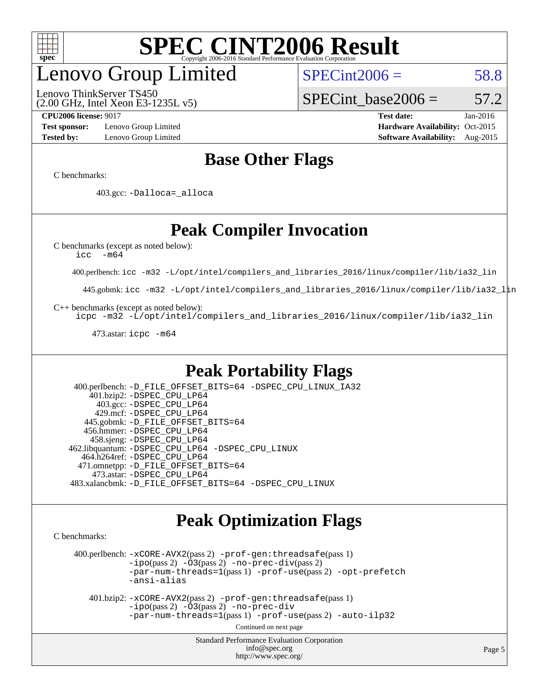![](_page_4_Picture_0.jpeg)

## enovo Group Limited

Lenovo ThinkServer TS450

 $SPECint2006 = 58.8$  $SPECint2006 = 58.8$ 

(2.00 GHz, Intel Xeon E3-1235L v5)

**[Test sponsor:](http://www.spec.org/auto/cpu2006/Docs/result-fields.html#Testsponsor)** Lenovo Group Limited **[Hardware Availability:](http://www.spec.org/auto/cpu2006/Docs/result-fields.html#HardwareAvailability)** Oct-2015 **[Tested by:](http://www.spec.org/auto/cpu2006/Docs/result-fields.html#Testedby)** Lenovo Group Limited **[Software Availability:](http://www.spec.org/auto/cpu2006/Docs/result-fields.html#SoftwareAvailability)** Aug-2015

**[CPU2006 license:](http://www.spec.org/auto/cpu2006/Docs/result-fields.html#CPU2006license)** 9017 **[Test date:](http://www.spec.org/auto/cpu2006/Docs/result-fields.html#Testdate)** Jan-2016

SPECint base2006 =  $57.2$ 

### **[Base Other Flags](http://www.spec.org/auto/cpu2006/Docs/result-fields.html#BaseOtherFlags)**

[C benchmarks](http://www.spec.org/auto/cpu2006/Docs/result-fields.html#Cbenchmarks):

403.gcc: [-Dalloca=\\_alloca](http://www.spec.org/cpu2006/results/res2016q1/cpu2006-20160125-38902.flags.html#b403.gcc_baseEXTRA_CFLAGS_Dalloca_be3056838c12de2578596ca5467af7f3)

### **[Peak Compiler Invocation](http://www.spec.org/auto/cpu2006/Docs/result-fields.html#PeakCompilerInvocation)**

[C benchmarks \(except as noted below\)](http://www.spec.org/auto/cpu2006/Docs/result-fields.html#Cbenchmarksexceptasnotedbelow):

[icc -m64](http://www.spec.org/cpu2006/results/res2016q1/cpu2006-20160125-38902.flags.html#user_CCpeak_intel_icc_64bit_f346026e86af2a669e726fe758c88044)

400.perlbench: [icc -m32 -L/opt/intel/compilers\\_and\\_libraries\\_2016/linux/compiler/lib/ia32\\_lin](http://www.spec.org/cpu2006/results/res2016q1/cpu2006-20160125-38902.flags.html#user_peakCCLD400_perlbench_intel_icc_e10256ba5924b668798078a321b0cb3f)

445.gobmk: [icc -m32 -L/opt/intel/compilers\\_and\\_libraries\\_2016/linux/compiler/lib/ia32\\_lin](http://www.spec.org/cpu2006/results/res2016q1/cpu2006-20160125-38902.flags.html#user_peakCCLD445_gobmk_intel_icc_e10256ba5924b668798078a321b0cb3f)

[C++ benchmarks \(except as noted below\):](http://www.spec.org/auto/cpu2006/Docs/result-fields.html#CXXbenchmarksexceptasnotedbelow)

[icpc -m32 -L/opt/intel/compilers\\_and\\_libraries\\_2016/linux/compiler/lib/ia32\\_lin](http://www.spec.org/cpu2006/results/res2016q1/cpu2006-20160125-38902.flags.html#user_CXXpeak_intel_icpc_b4f50a394bdb4597aa5879c16bc3f5c5)

473.astar: [icpc -m64](http://www.spec.org/cpu2006/results/res2016q1/cpu2006-20160125-38902.flags.html#user_peakCXXLD473_astar_intel_icpc_64bit_fc66a5337ce925472a5c54ad6a0de310)

### **[Peak Portability Flags](http://www.spec.org/auto/cpu2006/Docs/result-fields.html#PeakPortabilityFlags)**

 400.perlbench: [-D\\_FILE\\_OFFSET\\_BITS=64](http://www.spec.org/cpu2006/results/res2016q1/cpu2006-20160125-38902.flags.html#user_peakPORTABILITY400_perlbench_file_offset_bits_64_438cf9856305ebd76870a2c6dc2689ab) [-DSPEC\\_CPU\\_LINUX\\_IA32](http://www.spec.org/cpu2006/results/res2016q1/cpu2006-20160125-38902.flags.html#b400.perlbench_peakCPORTABILITY_DSPEC_CPU_LINUX_IA32) 401.bzip2: [-DSPEC\\_CPU\\_LP64](http://www.spec.org/cpu2006/results/res2016q1/cpu2006-20160125-38902.flags.html#suite_peakPORTABILITY401_bzip2_DSPEC_CPU_LP64) 403.gcc: [-DSPEC\\_CPU\\_LP64](http://www.spec.org/cpu2006/results/res2016q1/cpu2006-20160125-38902.flags.html#suite_peakPORTABILITY403_gcc_DSPEC_CPU_LP64) 429.mcf: [-DSPEC\\_CPU\\_LP64](http://www.spec.org/cpu2006/results/res2016q1/cpu2006-20160125-38902.flags.html#suite_peakPORTABILITY429_mcf_DSPEC_CPU_LP64) 445.gobmk: [-D\\_FILE\\_OFFSET\\_BITS=64](http://www.spec.org/cpu2006/results/res2016q1/cpu2006-20160125-38902.flags.html#user_peakPORTABILITY445_gobmk_file_offset_bits_64_438cf9856305ebd76870a2c6dc2689ab) 456.hmmer: [-DSPEC\\_CPU\\_LP64](http://www.spec.org/cpu2006/results/res2016q1/cpu2006-20160125-38902.flags.html#suite_peakPORTABILITY456_hmmer_DSPEC_CPU_LP64) 458.sjeng: [-DSPEC\\_CPU\\_LP64](http://www.spec.org/cpu2006/results/res2016q1/cpu2006-20160125-38902.flags.html#suite_peakPORTABILITY458_sjeng_DSPEC_CPU_LP64) 462.libquantum: [-DSPEC\\_CPU\\_LP64](http://www.spec.org/cpu2006/results/res2016q1/cpu2006-20160125-38902.flags.html#suite_peakPORTABILITY462_libquantum_DSPEC_CPU_LP64) [-DSPEC\\_CPU\\_LINUX](http://www.spec.org/cpu2006/results/res2016q1/cpu2006-20160125-38902.flags.html#b462.libquantum_peakCPORTABILITY_DSPEC_CPU_LINUX) 464.h264ref: [-DSPEC\\_CPU\\_LP64](http://www.spec.org/cpu2006/results/res2016q1/cpu2006-20160125-38902.flags.html#suite_peakPORTABILITY464_h264ref_DSPEC_CPU_LP64) 471.omnetpp: [-D\\_FILE\\_OFFSET\\_BITS=64](http://www.spec.org/cpu2006/results/res2016q1/cpu2006-20160125-38902.flags.html#user_peakPORTABILITY471_omnetpp_file_offset_bits_64_438cf9856305ebd76870a2c6dc2689ab) 473.astar: [-DSPEC\\_CPU\\_LP64](http://www.spec.org/cpu2006/results/res2016q1/cpu2006-20160125-38902.flags.html#suite_peakPORTABILITY473_astar_DSPEC_CPU_LP64) 483.xalancbmk: [-D\\_FILE\\_OFFSET\\_BITS=64](http://www.spec.org/cpu2006/results/res2016q1/cpu2006-20160125-38902.flags.html#user_peakPORTABILITY483_xalancbmk_file_offset_bits_64_438cf9856305ebd76870a2c6dc2689ab) [-DSPEC\\_CPU\\_LINUX](http://www.spec.org/cpu2006/results/res2016q1/cpu2006-20160125-38902.flags.html#b483.xalancbmk_peakCXXPORTABILITY_DSPEC_CPU_LINUX)

### **[Peak Optimization Flags](http://www.spec.org/auto/cpu2006/Docs/result-fields.html#PeakOptimizationFlags)**

[C benchmarks](http://www.spec.org/auto/cpu2006/Docs/result-fields.html#Cbenchmarks):

 400.perlbench: [-xCORE-AVX2](http://www.spec.org/cpu2006/results/res2016q1/cpu2006-20160125-38902.flags.html#user_peakPASS2_CFLAGSPASS2_LDCFLAGS400_perlbench_f-xAVX2_5f5fc0cbe2c9f62c816d3e45806c70d7)(pass 2) [-prof-gen:threadsafe](http://www.spec.org/cpu2006/results/res2016q1/cpu2006-20160125-38902.flags.html#user_peakPASS1_CFLAGSPASS1_LDCFLAGS400_perlbench_prof_gen_21a26eb79f378b550acd7bec9fe4467a)(pass 1)  $-i\text{po}(pass 2) -\tilde{O}3(pass 2)$  [-no-prec-div](http://www.spec.org/cpu2006/results/res2016q1/cpu2006-20160125-38902.flags.html#user_peakPASS2_CFLAGSPASS2_LDCFLAGS400_perlbench_f-no-prec-div)(pass 2) [-par-num-threads=1](http://www.spec.org/cpu2006/results/res2016q1/cpu2006-20160125-38902.flags.html#user_peakPASS1_CFLAGSPASS1_LDCFLAGS400_perlbench_par_num_threads_786a6ff141b4e9e90432e998842df6c2)(pass 1) [-prof-use](http://www.spec.org/cpu2006/results/res2016q1/cpu2006-20160125-38902.flags.html#user_peakPASS2_CFLAGSPASS2_LDCFLAGS400_perlbench_prof_use_bccf7792157ff70d64e32fe3e1250b55)(pass 2) [-opt-prefetch](http://www.spec.org/cpu2006/results/res2016q1/cpu2006-20160125-38902.flags.html#user_peakCOPTIMIZE400_perlbench_f-opt-prefetch) [-ansi-alias](http://www.spec.org/cpu2006/results/res2016q1/cpu2006-20160125-38902.flags.html#user_peakCOPTIMIZE400_perlbench_f-ansi-alias)

 401.bzip2: [-xCORE-AVX2](http://www.spec.org/cpu2006/results/res2016q1/cpu2006-20160125-38902.flags.html#user_peakPASS2_CFLAGSPASS2_LDCFLAGS401_bzip2_f-xAVX2_5f5fc0cbe2c9f62c816d3e45806c70d7)(pass 2) [-prof-gen:threadsafe](http://www.spec.org/cpu2006/results/res2016q1/cpu2006-20160125-38902.flags.html#user_peakPASS1_CFLAGSPASS1_LDCFLAGS401_bzip2_prof_gen_21a26eb79f378b550acd7bec9fe4467a)(pass 1)  $-i\text{po}(pass 2) -\overline{O}3(pass 2)$  [-no-prec-div](http://www.spec.org/cpu2006/results/res2016q1/cpu2006-20160125-38902.flags.html#user_peakCOPTIMIZEPASS2_CFLAGSPASS2_LDCFLAGS401_bzip2_f-no-prec-div) [-par-num-threads=1](http://www.spec.org/cpu2006/results/res2016q1/cpu2006-20160125-38902.flags.html#user_peakPASS1_CFLAGSPASS1_LDCFLAGS401_bzip2_par_num_threads_786a6ff141b4e9e90432e998842df6c2)(pass 1) [-prof-use](http://www.spec.org/cpu2006/results/res2016q1/cpu2006-20160125-38902.flags.html#user_peakPASS2_CFLAGSPASS2_LDCFLAGS401_bzip2_prof_use_bccf7792157ff70d64e32fe3e1250b55)(pass 2) [-auto-ilp32](http://www.spec.org/cpu2006/results/res2016q1/cpu2006-20160125-38902.flags.html#user_peakCOPTIMIZE401_bzip2_f-auto-ilp32)

Continued on next page

Standard Performance Evaluation Corporation [info@spec.org](mailto:info@spec.org) <http://www.spec.org/>

Page 5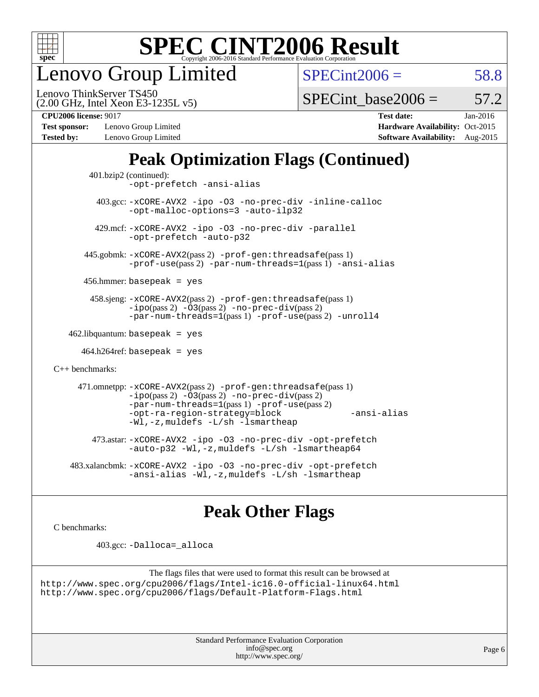![](_page_5_Picture_0.jpeg)

enovo Group Limited

 $SPECint2006 = 58.8$  $SPECint2006 = 58.8$ 

(2.00 GHz, Intel Xeon E3-1235L v5) Lenovo ThinkServer TS450

SPECint base2006 =  $57.2$ 

**[Test sponsor:](http://www.spec.org/auto/cpu2006/Docs/result-fields.html#Testsponsor)** Lenovo Group Limited **[Hardware Availability:](http://www.spec.org/auto/cpu2006/Docs/result-fields.html#HardwareAvailability)** Oct-2015 **[Tested by:](http://www.spec.org/auto/cpu2006/Docs/result-fields.html#Testedby)** Lenovo Group Limited **[Software Availability:](http://www.spec.org/auto/cpu2006/Docs/result-fields.html#SoftwareAvailability)** Aug-2015

**[CPU2006 license:](http://www.spec.org/auto/cpu2006/Docs/result-fields.html#CPU2006license)** 9017 **[Test date:](http://www.spec.org/auto/cpu2006/Docs/result-fields.html#Testdate)** Jan-2016

### **[Peak Optimization Flags \(Continued\)](http://www.spec.org/auto/cpu2006/Docs/result-fields.html#PeakOptimizationFlags)**

```
 401.bzip2 (continued):
                -opt-prefetch -ansi-alias
          403.gcc: -xCORE-AVX2 -ipo -O3 -no-prec-div -inline-calloc
                -opt-malloc-options=3 -auto-ilp32
         429.mcf: -xCORE-AVX2 -ipo -O3 -no-prec-div -parallel
                -opt-prefetch -auto-p32
       445.gobmk: -xCORE-AVX2(pass 2) -prof-gen:threadsafe(pass 1)
                -prof-use(pass 2) -par-num-threads=1(pass 1) -ansi-alias
       456.hmmer: basepeak = yes
        458.sjeng: -xCORE-AVX2(pass 2) -prof-gen:threadsafe(pass 1)
                -i\text{po}(pass 2) -\tilde{O}3(pass 2)-no-prec-div(pass 2)
                -par-num-threads=1(pass 1) -prof-use(pass 2) -unroll4
   462.libquantum: basepeak = yes
     464.h264ref: basepeak = yes
C++ benchmarks: 
      471.omnetpp: -xCORE-AVX2(pass 2) -prof-gen:threadsafe(pass 1)
                -i\text{po}(pass 2) -\overline{O}3(pass 2) -no-\overline{prec}\-div(pass 2)-par-num-threads=1(pass 1) -prof-use(pass 2)
                -opt-ra-region-strategy=block -ansi-alias
                -Wl,-z,muldefs -L/sh -lsmartheap
         473.astar: -xCORE-AVX2 -ipo -O3 -no-prec-div -opt-prefetch
                -auto-p32 -Wl,-z,muldefs -L/sh -lsmartheap64
    483.xalancbmk: -xCORE-AVX2 -ipo -O3 -no-prec-div -opt-prefetch
                -ansi-alias -Wl,-z,muldefs -L/sh -lsmartheap
```
### **[Peak Other Flags](http://www.spec.org/auto/cpu2006/Docs/result-fields.html#PeakOtherFlags)**

[C benchmarks](http://www.spec.org/auto/cpu2006/Docs/result-fields.html#Cbenchmarks):

403.gcc: [-Dalloca=\\_alloca](http://www.spec.org/cpu2006/results/res2016q1/cpu2006-20160125-38902.flags.html#b403.gcc_peakEXTRA_CFLAGS_Dalloca_be3056838c12de2578596ca5467af7f3)

```
The flags files that were used to format this result can be browsed at
http://www.spec.org/cpu2006/flags/Intel-ic16.0-official-linux64.html
http://www.spec.org/cpu2006/flags/Default-Platform-Flags.html
```